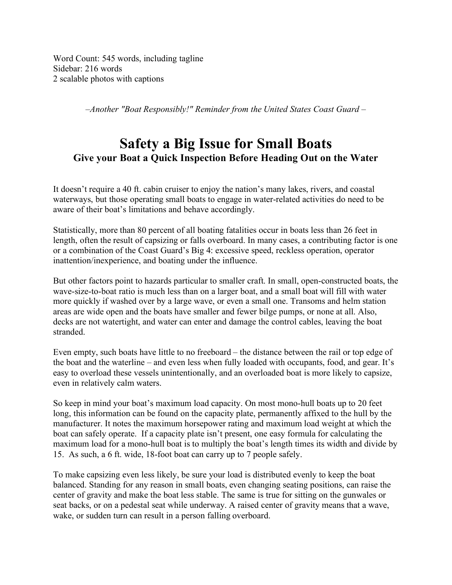Word Count: 545 words, including tagline Sidebar: 216 words 2 scalable photos with captions

*–Another "Boat Responsibly!" Reminder from the United States Coast Guard –*

## **Safety a Big Issue for Small Boats Give your Boat a Quick Inspection Before Heading Out on the Water**

It doesn't require a 40 ft. cabin cruiser to enjoy the nation's many lakes, rivers, and coastal waterways, but those operating small boats to engage in water-related activities do need to be aware of their boat's limitations and behave accordingly.

Statistically, more than 80 percent of all boating fatalities occur in boats less than 26 feet in length, often the result of capsizing or falls overboard. In many cases, a contributing factor is one or a combination of the Coast Guard's Big 4: excessive speed, reckless operation, operator inattention/inexperience, and boating under the influence.

But other factors point to hazards particular to smaller craft. In small, open-constructed boats, the wave-size-to-boat ratio is much less than on a larger boat, and a small boat will fill with water more quickly if washed over by a large wave, or even a small one. Transoms and helm station areas are wide open and the boats have smaller and fewer bilge pumps, or none at all. Also, decks are not watertight, and water can enter and damage the control cables, leaving the boat stranded.

Even empty, such boats have little to no freeboard – the distance between the rail or top edge of the boat and the waterline – and even less when fully loaded with occupants, food, and gear. It's easy to overload these vessels unintentionally, and an overloaded boat is more likely to capsize, even in relatively calm waters.

So keep in mind your boat's maximum load capacity. On most mono-hull boats up to 20 feet long, this information can be found on the capacity plate, permanently affixed to the hull by the manufacturer. It notes the maximum horsepower rating and maximum load weight at which the boat can safely operate. If a capacity plate isn't present, one easy formula for calculating the maximum load for a mono-hull boat is to multiply the boat's length times its width and divide by 15. As such, a 6 ft. wide, 18-foot boat can carry up to 7 people safely.

To make capsizing even less likely, be sure your load is distributed evenly to keep the boat balanced. Standing for any reason in small boats, even changing seating positions, can raise the center of gravity and make the boat less stable. The same is true for sitting on the gunwales or seat backs, or on a pedestal seat while underway. A raised center of gravity means that a wave, wake, or sudden turn can result in a person falling overboard.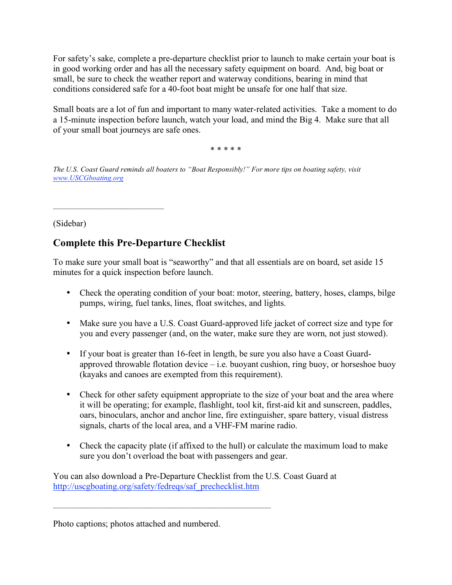For safety's sake, complete a pre-departure checklist prior to launch to make certain your boat is in good working order and has all the necessary safety equipment on board. And, big boat or small, be sure to check the weather report and waterway conditions, bearing in mind that conditions considered safe for a 40-foot boat might be unsafe for one half that size.

Small boats are a lot of fun and important to many water-related activities. Take a moment to do a 15-minute inspection before launch, watch your load, and mind the Big 4. Make sure that all of your small boat journeys are safe ones.

\* \* \* \* \*

*The U.S. Coast Guard reminds all boaters to "Boat Responsibly!" For more tips on boating safety, visit www.USCGboating.org*

(Sidebar)

## **Complete this Pre-Departure Checklist**

\_\_\_\_\_\_\_\_\_\_\_\_\_\_\_\_\_\_\_\_\_\_\_\_\_\_\_\_\_\_

To make sure your small boat is "seaworthy" and that all essentials are on board, set aside 15 minutes for a quick inspection before launch.

- Check the operating condition of your boat: motor, steering, battery, hoses, clamps, bilge pumps, wiring, fuel tanks, lines, float switches, and lights.
- Make sure you have a U.S. Coast Guard-approved life jacket of correct size and type for you and every passenger (and, on the water, make sure they are worn, not just stowed).
- If your boat is greater than 16-feet in length, be sure you also have a Coast Guardapproved throwable flotation device  $-$  i.e. buoyant cushion, ring buoy, or horseshoe buoy (kayaks and canoes are exempted from this requirement).
- Check for other safety equipment appropriate to the size of your boat and the area where it will be operating; for example, flashlight, tool kit, first-aid kit and sunscreen, paddles, oars, binoculars, anchor and anchor line, fire extinguisher, spare battery, visual distress signals, charts of the local area, and a VHF-FM marine radio.
- Check the capacity plate (if affixed to the hull) or calculate the maximum load to make sure you don't overload the boat with passengers and gear.

You can also download a Pre-Departure Checklist from the U.S. Coast Guard at http://uscgboating.org/safety/fedreqs/saf\_prechecklist.htm

Photo captions; photos attached and numbered.